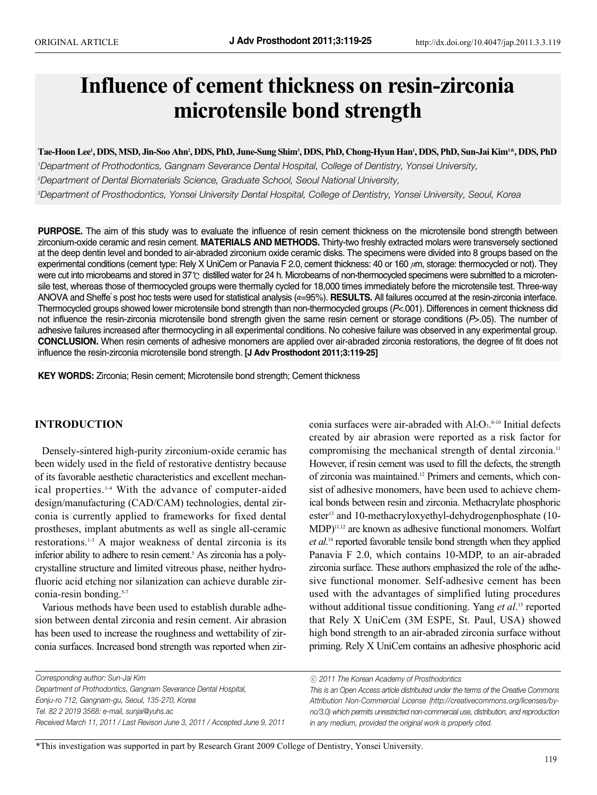# **Influence of cement thickness on resin-zirconia microtensile bond strength**

**Tae-Hoon Lee1 , DDS, MSD, Jin-Soo Ahn2 , DDS, PhD, June-Sung Shim3 , DDS, PhD, Chong-Hyun Han1 , DDS, PhD, Sun-Jai Kim1 \*, DDS, PhD** *1 Department of Prothodontics, Gangnam Severance Dental Hospital, College of Dentistry, Yonsei University, 2 Department of Dental Biomaterials Science, Graduate School, Seoul National University,* 

*3 Department of Prosthodontics, Yonsei University Dental Hospital, College of Dentistry, Yonsei University, Seoul, Korea*

**PURPOSE.** The aim of this study was to evaluate the influence of resin cement thickness on the microtensile bond strength between zirconium-oxide ceramic and resin cement. **MATERIALS AND METHODS.** Thirty-two freshly extracted molars were transversely sectioned at the deep dentin level and bonded to air-abraded zirconium oxide ceramic disks. The specimens were divided into 8 groups based on the experimental conditions (cement type: Rely X UniCem or Panavia F 2.0, cement thickness: 40 or 160 μm, storage: thermocycled or not). They were cut into microbeams and stored in 37℃ distilled water for 24 h. Microbeams of non-thermocycled specimens were submitted to a microtensile test, whereas those of thermocycled groups were thermally cycled for 18,000 times immediately before the microtensile test. Three-way ANOVA and Sheffe's post hoc tests were used for statistical analysis (α=95%). **RESULTS.** All failures occurred at the resin-zirconia interface. Thermocycled groups showed lower microtensile bond strength than non-thermocycled groups (*P*<.001). Differences in cement thickness did not influence the resin-zirconia microtensile bond strength given the same resin cement or storage conditions (*P*>.05). The number of adhesive failures increased after thermocycling in all experimental conditions. No cohesive failure was observed in any experimental group. **CONCLUSION.** When resin cements of adhesive monomers are applied over air-abraded zirconia restorations, the degree of fit does not influence the resin-zirconia microtensile bond strength. **[J Adv Prosthodont 2011;3:119-25]**

**KEY WORDS:** Zirconia; Resin cement; Microtensile bond strength; Cement thickness

# **INTRODUCTION**

Densely-sintered high-purity zirconium-oxide ceramic has been widely used in the field of restorative dentistry because of its favorable aesthetic characteristics and excellent mechanical properties.1-4 With the advance of computer-aided design/manufacturing (CAD/CAM) technologies, dental zirconia is currently applied to frameworks for fixed dental prostheses, implant abutments as well as single all-ceramic restorations.1-3 A major weakness of dental zirconia is its inferior ability to adhere to resin cement.<sup>5</sup> As zirconia has a polycrystalline structure and limited vitreous phase, neither hydrofluoric acid etching nor silanization can achieve durable zirconia-resin bonding.<sup>5-7</sup>

Various methods have been used to establish durable adhesion between dental zirconia and resin cement. Air abrasion has been used to increase the roughness and wettability of zirconia surfaces. Increased bond strength was reported when zir-

conia surfaces were air-abraded with  $Al_2O_3$ .<sup>8-10</sup> Initial defects created by air abrasion were reported as a risk factor for compromising the mechanical strength of dental zirconia.<sup>11</sup> However, if resin cement was used to fill the defects, the strength of zirconia was maintained.12 Primers and cements, which consist of adhesive monomers, have been used to achieve chemical bonds between resin and zirconia. Methacrylate phosphoric ester<sup>13</sup> and 10-methacryloxyethyl-dehydrogenphosphate (10-MDP)11,12 are known as adhesive functional monomers. Wolfart *et al*. <sup>14</sup> reported favorable tensile bond strength when they applied Panavia F 2.0, which contains 10-MDP, to an air-abraded zirconia surface. These authors emphasized the role of the adhesive functional monomer. Self-adhesive cement has been used with the advantages of simplified luting procedures without additional tissue conditioning. Yang *et al*. <sup>15</sup> reported that Rely X UniCem (3M ESPE, St. Paul, USA) showed high bond strength to an air-abraded zirconia surface without priming. Rely X UniCem contains an adhesive phosphoric acid

*Corresponding author: Sun-Jai Kim Department of Prothodontics, Gangnam Severance Dental Hospital, Eonju-ro 712, Gangnam-gu, Seoul, 135-270, Korea Tel. 82 2 2019 3568: e-mail, sunjai@yuhs.ac Received March 11, 2011 / Last Revison June 3, 2011 / Accepted June 9, 2011* 

ⓒ *2011 The Korean Academy of Prosthodontics*

*This is an Open Access article distributed under the terms of the Creative Commons Attribution Non-Commercial License (http://creativecommons.org/licenses/bync/3.0) which permits unrestricted non-commercial use, distribution, and reproduction in any medium, provided the original work is properly cited.*

\*This investigation was supported in part by Research Grant 2009 College of Dentistry, Yonsei University.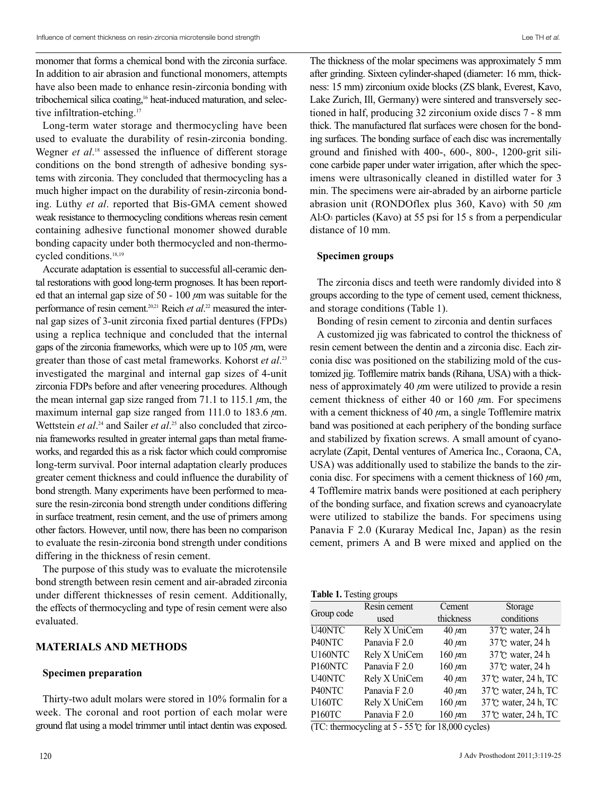monomer that forms a chemical bond with the zirconia surface. In addition to air abrasion and functional monomers, attempts have also been made to enhance resin-zirconia bonding with tribochemical silica coating,<sup>16</sup> heat-induced maturation, and selective infiltration-etching.<sup>17</sup>

Long-term water storage and thermocycling have been used to evaluate the durability of resin-zirconia bonding. Wegner *et al*. <sup>18</sup> assessed the influence of different storage conditions on the bond strength of adhesive bonding systems with zirconia. They concluded that thermocycling has a much higher impact on the durability of resin-zirconia bonding. Lüthy *et al.* reported that Bis-GMA cement showed weak resistance to thermocycling conditions whereas resin cement containing adhesive functional monomer showed durable bonding capacity under both thermocycled and non-thermocycled conditions.18,19

Accurate adaptation is essential to successful all-ceramic dental restorations with good long-term prognoses. It has been reported that an internal gap size of 50 - 100  $\mu$ m was suitable for the performance of resin cement.20,21 Reich *et al*. <sup>22</sup> measured the internal gap sizes of 3-unit zirconia fixed partial dentures (FPDs) using a replica technique and concluded that the internal gaps of the zirconia frameworks, which were up to  $105 \mu m$ , were greater than those of cast metal frameworks. Kohorst *et al*. 23 investigated the marginal and internal gap sizes of 4-unit zirconia FDPs before and after veneering procedures. Although the mean internal gap size ranged from 71.1 to 115.1  $\mu$ m, the maximum internal gap size ranged from 111.0 to 183.6  $\mu$ m. Wettstein *et al.*<sup>24</sup> and Sailer *et al.*<sup>25</sup> also concluded that zirconia frameworks resulted in greater internal gaps than metal frameworks, and regarded this as a risk factor which could compromise long-term survival. Poor internal adaptation clearly produces greater cement thickness and could influence the durability of bond strength. Many experiments have been performed to measure the resin-zirconia bond strength under conditions differing in surface treatment, resin cement, and the use of primers among other factors. However, until now, there has been no comparison to evaluate the resin-zirconia bond strength under conditions differing in the thickness of resin cement.

The purpose of this study was to evaluate the microtensile bond strength between resin cement and air-abraded zirconia under different thicknesses of resin cement. Additionally, the effects of thermocycling and type of resin cement were also evaluated.

### **MATERIALS AND METHODS**

#### **Specimen preparation**

Thirty-two adult molars were stored in 10% formalin for a week. The coronal and root portion of each molar were ground flat using a model trimmer until intact dentin was exposed. The thickness of the molar specimens was approximately 5 mm after grinding. Sixteen cylinder-shaped (diameter: 16 mm, thickness: 15 mm) zirconium oxide blocks (ZS blank, Everest, Kavo, Lake Zurich, Ill, Germany) were sintered and transversely sectioned in half, producing 32 zirconium oxide discs 7 - 8 mm thick. The manufactured flat surfaces were chosen for the bonding surfaces. The bonding surface of each disc was incrementally ground and finished with 400-, 600-, 800-, 1200-grit silicone carbide paper under water irrigation, after which the specimens were ultrasonically cleaned in distilled water for 3 min. The specimens were air-abraded by an airborne particle abrasion unit (RONDOflex plus 360, Kavo) with 50  $\mu$ m Al2O3 particles (Kavo) at 55 psi for 15 s from a perpendicular distance of 10 mm.

#### **Specimen groups**

The zirconia discs and teeth were randomly divided into 8 groups according to the type of cement used, cement thickness, and storage conditions (Table 1).

Bonding of resin cement to zirconia and dentin surfaces

A customized jig was fabricated to control the thickness of resin cement between the dentin and a zirconia disc. Each zirconia disc was positioned on the stabilizing mold of the customized jig. Tofflemire matrix bands (Rihana, USA) with a thickness of approximately 40  $\mu$ m were utilized to provide a resin cement thickness of either 40 or 160  $\mu$ m. For specimens with a cement thickness of 40  $\mu$ m, a single Tofflemire matrix band was positioned at each periphery of the bonding surface and stabilized by fixation screws. A small amount of cyanoacrylate (Zapit, Dental ventures of America Inc., Coraona, CA, USA) was additionally used to stabilize the bands to the zirconia disc. For specimens with a cement thickness of 160  $\mu$ m, 4 Tofflemire matrix bands were positioned at each periphery of the bonding surface, and fixation screws and cyanoacrylate were utilized to stabilize the bands. For specimens using Panavia F 2.0 (Kuraray Medical Inc, Japan) as the resin cement, primers A and B were mixed and applied on the

| <b>Table 1.</b> Testing groups |  |  |
|--------------------------------|--|--|
|--------------------------------|--|--|

|                | Resin cement                                                                  | Cement        | Storage              |
|----------------|-------------------------------------------------------------------------------|---------------|----------------------|
| Group code     | used                                                                          | thickness     | conditions           |
| U40NTC         | Rely X UniCem                                                                 | $40 \ \mu m$  | 37°C water, 24 h     |
| P40NTC         | Panavia F 2.0                                                                 | $40 \ \mu m$  | 37°C water, 24 h     |
| U160NTC        | Rely X UniCem                                                                 | $160 \ \mu m$ | 37°C water, 24 h     |
| P160NTC        | Panavia F 2.0                                                                 | $160 \ \mu m$ | 37°C water, 24 h     |
| U40NTC         | Rely X UniCem                                                                 | $40 \ \mu m$  | 37°C water, 24 h, TC |
| P40NTC         | Panavia F 2.0                                                                 | $40 \ \mu m$  | 37°C water, 24 h, TC |
| <b>U160TC</b>  | Rely X UniCem                                                                 | $160 \ \mu m$ | 37°C water, 24 h, TC |
| <b>P160TC</b>  | Panavia F 2.0                                                                 | $160 \ \mu m$ | 37°C water, 24 h, TC |
| $(T1 \cap T1)$ | $\mathbf{r}$ $\mathbf{r}$ $\mathbf{r}$ $\mathbf{r}$ $\mathbf{r}$ $\mathbf{r}$ | 10.000        |                      |

(TC: thermocycling at  $5 - 55$ °C for 18,000 cycles)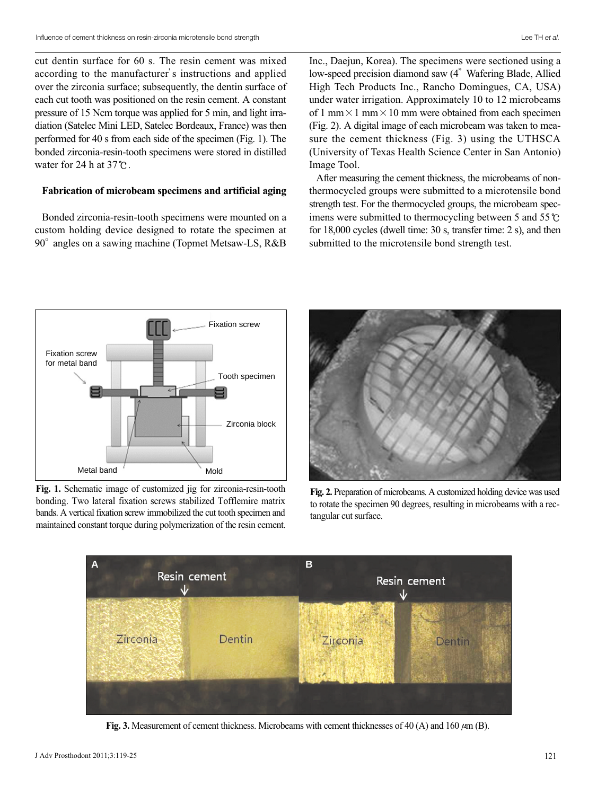cut dentin surface for 60 s. The resin cement was mixed according to the manufacturer's instructions and applied over the zirconia surface; subsequently, the dentin surface of each cut tooth was positioned on the resin cement. A constant pressure of 15 Ncm torque was applied for 5 min, and light irradiation (Satelec Mini LED, Satelec Bordeaux, France) was then performed for 40 s from each side of the specimen (Fig. 1). The bonded zirconia-resin-tooth specimens were stored in distilled water for 24 h at 37℃.

#### **Fabrication of microbeam specimens and artificial aging**

Bonded zirconia-resin-tooth specimens were mounted on a custom holding device designed to rotate the specimen at  $90^\circ$  angles on a sawing machine (Topmet Metsaw-LS, R&B)

Inc., Daejun, Korea). The specimens were sectioned using a low-speed precision diamond saw (4" Wafering Blade, Allied High Tech Products Inc., Rancho Domingues, CA, USA) under water irrigation. Approximately 10 to 12 microbeams of 1 mm  $\times$  1 mm  $\times$  10 mm were obtained from each specimen (Fig. 2). A digital image of each microbeam was taken to measure the cement thickness (Fig. 3) using the UTHSCA (University of Texas Health Science Center in San Antonio) Image Tool.

After measuring the cement thickness, the microbeams of nonthermocycled groups were submitted to a microtensile bond strength test. For the thermocycled groups, the microbeam specimens were submitted to thermocycling between 5 and 55℃ for 18,000 cycles (dwell time: 30 s, transfer time: 2 s), and then submitted to the microtensile bond strength test.



**Fig. 1.** Schematic image of customized jig for zirconia-resin-tooth bonding. Two lateral fixation screws stabilized Tofflemire matrix bands. A vertical fixation screw immobilized the cut tooth specimen and maintained constant torque during polymerization of the resin cement.



**Fig. 2.** Preparation of microbeams. A customized holding device was used to rotate the specimen 90 degrees, resulting in microbeams with a rectangular cut surface.



**Fig. 3.** Measurement of cement thickness. Microbeams with cement thicknesses of 40 (A) and 160 μm (B).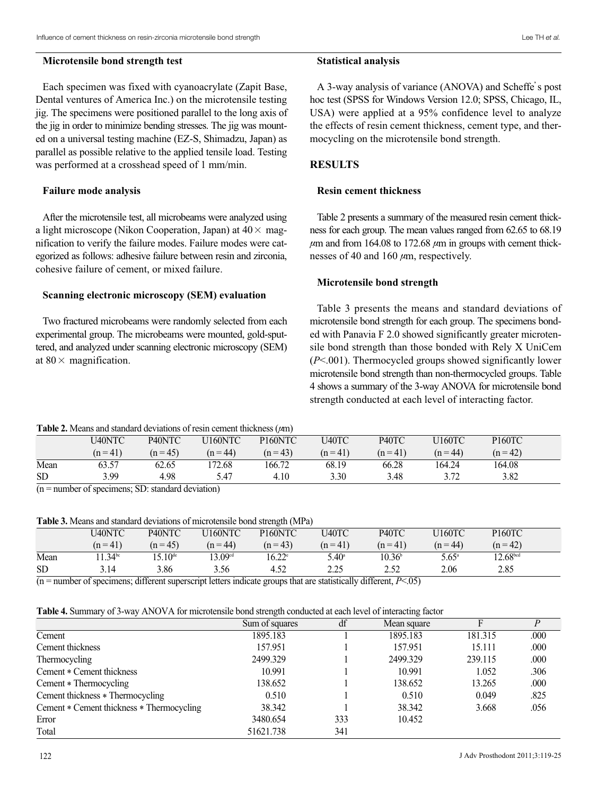#### **Microtensile bond strength test**

# Each specimen was fixed with cyanoacrylate (Zapit Base, Dental ventures of America Inc.) on the microtensile testing jig. The specimens were positioned parallel to the long axis of the jig in order to minimize bending stresses. The jig was mounted on a universal testing machine (EZ-S, Shimadzu, Japan) as parallel as possible relative to the applied tensile load. Testing was performed at a crosshead speed of 1 mm/min.

# **Failure mode analysis**

After the microtensile test, all microbeams were analyzed using a light microscope (Nikon Cooperation, Japan) at  $40 \times$  magnification to verify the failure modes. Failure modes were categorized as follows: adhesive failure between resin and zirconia, cohesive failure of cement, or mixed failure.

#### **Scanning electronic microscopy (SEM) evaluation**

Two fractured microbeams were randomly selected from each experimental group. The microbeams were mounted, gold-sputtered, and analyzed under scanning electronic microscopy (SEM) at  $80 \times$  magnification.

#### **Statistical analysis**

A 3-way analysis of variance (ANOVA) and Scheffe's post hoc test (SPSS for Windows Version 12.0; SPSS, Chicago, IL, USA) were applied at a 95% confidence level to analyze the effects of resin cement thickness, cement type, and thermocycling on the microtensile bond strength.

# **RESULTS**

### **Resin cement thickness**

Table 2 presents a summary of the measured resin cement thickness for each group. The mean values ranged from 62.65 to 68.19  $\mu$ m and from 164.08 to 172.68  $\mu$ m in groups with cement thicknesses of 40 and 160 μm, respectively.

#### **Microtensile bond strength**

Table 3 presents the means and standard deviations of microtensile bond strength for each group. The specimens bonded with Panavia F 2.0 showed significantly greater microtensile bond strength than those bonded with Rely X UniCem (*P*<.001). Thermocycled groups showed significantly lower microtensile bond strength than non-thermocycled groups. Table 4 shows a summary of the 3-way ANOVA for microtensile bond strength conducted at each level of interacting factor.

#### **Table 2.** Means and standard deviations of resin cement thickness (μm)

|           | U40NTC     | P <sub>40</sub> NTC | U160NTC    | P <sub>160</sub> NTC | U40TC    | P40TC    | J160TC                    | <b>P160TC</b> |  |
|-----------|------------|---------------------|------------|----------------------|----------|----------|---------------------------|---------------|--|
|           | $(n = 41)$ | $(n=45)$            | $(n = 44)$ | $(n = 43)$           | $(n=41)$ | $(n=41)$ | $(n = 44)$                | $(n=42)$      |  |
| Mean      | 63.57      | 62.65               | 172.68     | 166.72               | 68.19    | 66.28    | 164.24                    | 164.08        |  |
| <b>SD</b> | 3.99       | 4.98                | 5.47       | 4.10                 | 3.30     | 3.48     | $\gamma$ $\pi$<br>ے ، ۔ ب | 3.82          |  |

 $(n =$  number of specimens; SD: standard deviation)

#### **Table 3.** Means and standard deviations of microtensile bond strength (MPa)

|           | U40NTC      | P40NTC           | U160NTC             | P <sub>160</sub> NTC | U40TC              | P40TC           | U160TC         | P160TC               |  |
|-----------|-------------|------------------|---------------------|----------------------|--------------------|-----------------|----------------|----------------------|--|
|           | $(n=41)$    | $(n=45)$         | $(n = 44)$          | $(n=43)$             | $(n=41)$           | $(n=41)$        | $(n = 44)$     | $(n=42)$             |  |
| Mean      | $1.34^{bc}$ | $15.10^{\rm de}$ | 13.09 <sup>cd</sup> | $16.22^{\circ}$      | $5.40^{\circ}$     | $10.36^{\rm b}$ | $5.65^{\circ}$ | 12.68 <sup>bcd</sup> |  |
| <b>SD</b> | 3.14        | 3.86             | 3.56                | 4.52                 | つつく<br><u>L.L.</u> | 2.JZ            | 2.06           | 2.85                 |  |
|           | $\sim$      | .                | $\sim$ $\sim$       |                      |                    | .<br>$  -$      |                |                      |  |

(n = number of specimens; different superscript letters indicate groups that are statistically different, *P*<.05)

**Table 4.** Summary of 3-way ANOVA for microtensile bond strength conducted at each level of interacting factor

|                                           | Sum of squares | df  | Mean square |         | P    |
|-------------------------------------------|----------------|-----|-------------|---------|------|
| Cement                                    | 1895.183       |     | 1895.183    | 181.315 | .000 |
| Cement thickness                          | 157.951        |     | 157.951     | 15.111  | .000 |
| Thermocycling                             | 2499.329       |     | 2499.329    | 239.115 | .000 |
| Cement * Cement thickness                 | 10.991         |     | 10.991      | 1.052   | .306 |
| Cement * Thermocycling                    | 138.652        |     | 138.652     | 13.265  | .000 |
| Cement thickness * Thermocycling          | 0.510          |     | 0.510       | 0.049   | .825 |
| Cement * Cement thickness * Thermocycling | 38.342         |     | 38.342      | 3.668   | .056 |
| Error                                     | 3480.654       | 333 | 10.452      |         |      |
| Total                                     | 51621.738      | 341 |             |         |      |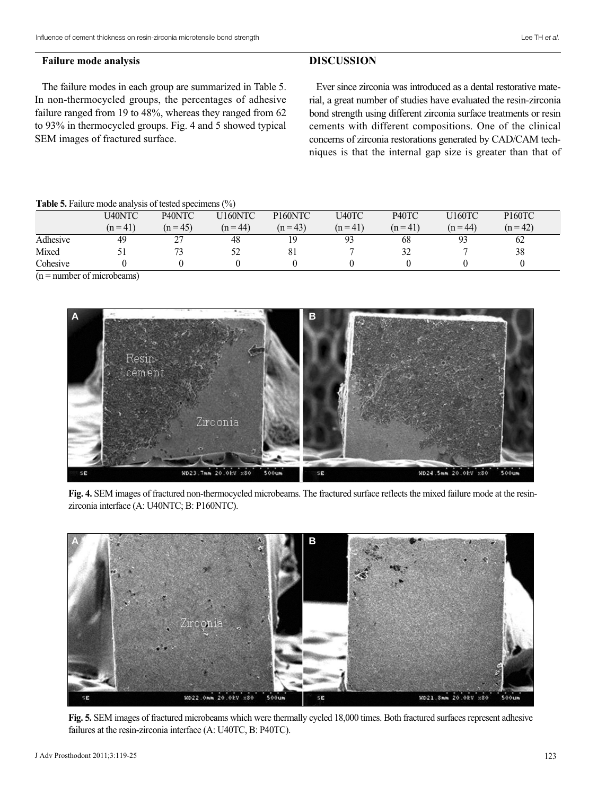#### **Failure mode analysis**

The failure modes in each group are summarized in Table 5. In non-thermocycled groups, the percentages of adhesive failure ranged from 19 to 48%, whereas they ranged from 62 to 93% in thermocycled groups. Fig. 4 and 5 showed typical SEM images of fractured surface.

## **DISCUSSION**

Ever since zirconia was introduced as a dental restorative material, a great number of studies have evaluated the resin-zirconia bond strength using different zirconia surface treatments or resin cements with different compositions. One of the clinical concerns of zirconia restorations generated by CAD/CAM techniques is that the internal gap size is greater than that of

**Table 5.** Failure mode analysis of tested specimens (%)

|          | U40NTC   | P <sub>40</sub> NTC | U160NTC    | P <sub>160</sub> NTC | U40TC          | P <sub>40</sub> TC | U160TC     | P <sub>160</sub> TC |
|----------|----------|---------------------|------------|----------------------|----------------|--------------------|------------|---------------------|
|          | $(n=41)$ | $(n = 45)$          | $(n = 44)$ | $(n=43)$             | $(n=41)$       | $(n=41)$           | $(n = 44)$ | $(n=42)$            |
| Adhesive | 49       | າາ<br>∠             | 48         | 1 Q                  | 0 <sup>2</sup> | 68                 | ۵3<br>ر .  | 62                  |
| Mixed    |          | 73                  | 52         | 81                   |                | $2^{\prime}$       |            | 38                  |
| Cohesive |          |                     |            |                      |                |                    |            |                     |

 $(n =$  number of microbeams)



**Fig. 4.** SEM images of fractured non-thermocycled microbeams. The fractured surface reflects the mixed failure mode at the resinzirconia interface (A: U40NTC; B: P160NTC).



**Fig. 5.** SEM images of fractured microbeams which were thermally cycled 18,000 times. Both fractured surfaces represent adhesive failures at the resin-zirconia interface (A: U40TC, B: P40TC).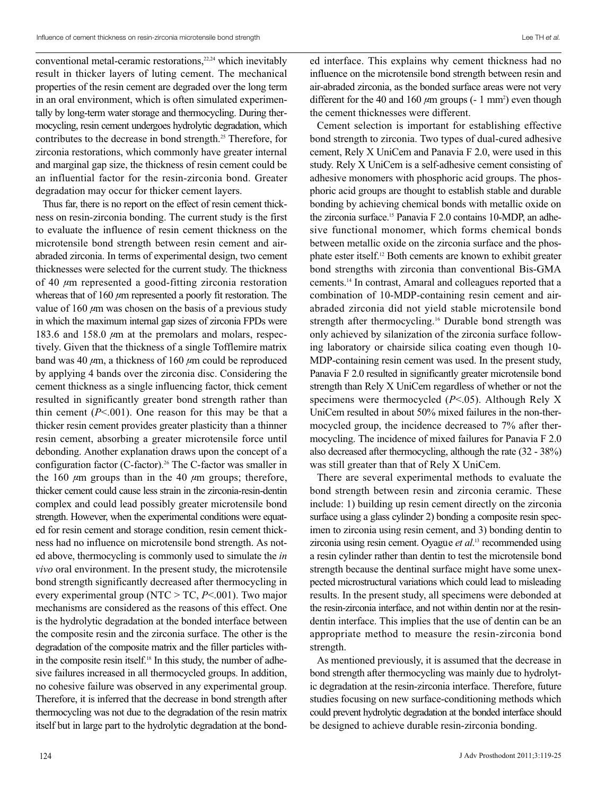conventional metal-ceramic restorations, $22,24$  which inevitably result in thicker layers of luting cement. The mechanical properties of the resin cement are degraded over the long term in an oral environment, which is often simulated experimentally by long-term water storage and thermocycling. During thermocycling, resin cement undergoes hydrolytic degradation, which contributes to the decrease in bond strength.<sup>25</sup> Therefore, for zirconia restorations, which commonly have greater internal and marginal gap size, the thickness of resin cement could be an influential factor for the resin-zirconia bond. Greater degradation may occur for thicker cement layers.

Thus far, there is no report on the effect of resin cement thickness on resin-zirconia bonding. The current study is the first to evaluate the influence of resin cement thickness on the microtensile bond strength between resin cement and airabraded zirconia. In terms of experimental design, two cement thicknesses were selected for the current study. The thickness of 40  $\mu$ m represented a good-fitting zirconia restoration whereas that of  $160 \mu m$  represented a poorly fit restoration. The value of 160  $\mu$ m was chosen on the basis of a previous study in which the maximum internal gap sizes of zirconia FPDs were 183.6 and 158.0  $\mu$ m at the premolars and molars, respectively. Given that the thickness of a single Tofflemire matrix band was 40  $\mu$ m, a thickness of 160  $\mu$ m could be reproduced by applying 4 bands over the zirconia disc. Considering the cement thickness as a single influencing factor, thick cement resulted in significantly greater bond strength rather than thin cement  $(P<.001)$ . One reason for this may be that a thicker resin cement provides greater plasticity than a thinner resin cement, absorbing a greater microtensile force until debonding. Another explanation draws upon the concept of a configuration factor (C-factor).<sup>26</sup> The C-factor was smaller in the 160  $\mu$ m groups than in the 40  $\mu$ m groups; therefore, thicker cement could cause less strain in the zirconia-resin-dentin complex and could lead possibly greater microtensile bond strength. However, when the experimental conditions were equated for resin cement and storage condition, resin cement thickness had no influence on microtensile bond strength. As noted above, thermocycling is commonly used to simulate the *in vivo* oral environment. In the present study, the microtensile bond strength significantly decreased after thermocycling in every experimental group (NTC > TC, *P*<.001). Two major mechanisms are considered as the reasons of this effect. One is the hydrolytic degradation at the bonded interface between the composite resin and the zirconia surface. The other is the degradation of the composite matrix and the filler particles within the composite resin itself.<sup>18</sup> In this study, the number of adhesive failures increased in all thermocycled groups. In addition, no cohesive failure was observed in any experimental group. Therefore, it is inferred that the decrease in bond strength after thermocycling was not due to the degradation of the resin matrix itself but in large part to the hydrolytic degradation at the bonded interface. This explains why cement thickness had no influence on the microtensile bond strength between resin and air-abraded zirconia, as the bonded surface areas were not very different for the 40 and 160  $\mu$ m groups (- 1 mm<sup>2</sup>) even though the cement thicknesses were different.

Cement selection is important for establishing effective bond strength to zirconia. Two types of dual-cured adhesive cement, Rely X UniCem and Panavia F 2.0, were used in this study. Rely X UniCem is a self-adhesive cement consisting of adhesive monomers with phosphoric acid groups. The phosphoric acid groups are thought to establish stable and durable bonding by achieving chemical bonds with metallic oxide on the zirconia surface.15 Panavia F 2.0 contains 10-MDP, an adhesive functional monomer, which forms chemical bonds between metallic oxide on the zirconia surface and the phosphate ester itself.12 Both cements are known to exhibit greater bond strengths with zirconia than conventional Bis-GMA cements.14 In contrast, Amaral and colleagues reported that a combination of 10-MDP-containing resin cement and airabraded zirconia did not yield stable microtensile bond strength after thermocycling.16 Durable bond strength was only achieved by silanization of the zirconia surface following laboratory or chairside silica coating even though 10- MDP-containing resin cement was used. In the present study, Panavia F 2.0 resulted in significantly greater microtensile bond strength than Rely X UniCem regardless of whether or not the specimens were thermocycled (*P*<.05). Although Rely X UniCem resulted in about 50% mixed failures in the non-thermocycled group, the incidence decreased to 7% after thermocycling. The incidence of mixed failures for Panavia F 2.0 also decreased after thermocycling, although the rate (32 - 38%) was still greater than that of Rely X UniCem.

There are several experimental methods to evaluate the bond strength between resin and zirconia ceramic. These include: 1) building up resin cement directly on the zirconia surface using a glass cylinder 2) bonding a composite resin specimen to zirconia using resin cement, and 3) bonding dentin to zirconia using resin cement. Oyague et al.<sup>13</sup> recommended using a resin cylinder rather than dentin to test the microtensile bond strength because the dentinal surface might have some unexpected microstructural variations which could lead to misleading results. In the present study, all specimens were debonded at the resin-zirconia interface, and not within dentin nor at the resindentin interface. This implies that the use of dentin can be an appropriate method to measure the resin-zirconia bond strength.

As mentioned previously, it is assumed that the decrease in bond strength after thermocycling was mainly due to hydrolytic degradation at the resin-zirconia interface. Therefore, future studies focusing on new surface-conditioning methods which could prevent hydrolytic degradation at the bonded interface should be designed to achieve durable resin-zirconia bonding.